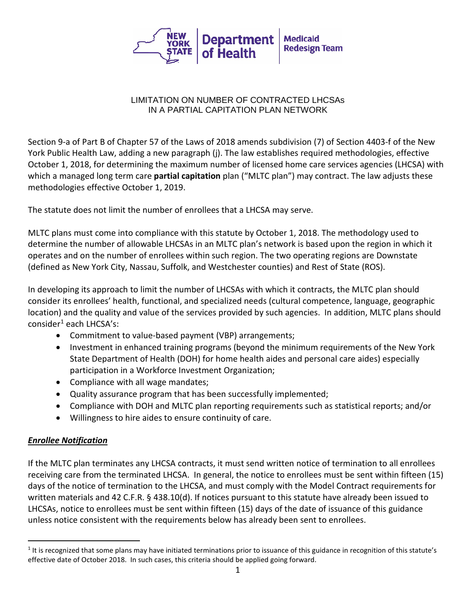

#### LIMITATION ON NUMBER OF CONTRACTED LHCSAs IN A PARTIAL CAPITATION PLAN NETWORK

Section 9-a of Part B of Chapter 57 of the Laws of 2018 amends subdivision (7) of Section 4403-f of the New York Public Health Law, adding a new paragraph (j). The law establishes required methodologies, effective October 1, 2018, for determining the maximum number of licensed home care services agencies (LHCSA) with which a managed long term care **partial capitation** plan ("MLTC plan") may contract. The law adjusts these methodologies effective October 1, 2019.

The statute does not limit the number of enrollees that a LHCSA may serve.

MLTC plans must come into compliance with this statute by October 1, 2018. The methodology used to determine the number of allowable LHCSAs in an MLTC plan's network is based upon the region in which it operates and on the number of enrollees within such region. The two operating regions are Downstate (defined as New York City, Nassau, Suffolk, and Westchester counties) and Rest of State (ROS).

In developing its approach to limit the number of LHCSAs with which it contracts, the MLTC plan should consider its enrollees' health, functional, and specialized needs (cultural competence, language, geographic location) and the quality and value of the services provided by such agencies. In addition, MLTC plans should consider<sup>[1](#page-0-0)</sup> each LHCSA's:

- Commitment to value-based payment (VBP) arrangements;
- Investment in enhanced training programs (beyond the minimum requirements of the New York State Department of Health (DOH) for home health aides and personal care aides) especially participation in a Workforce Investment Organization;
- Compliance with all wage mandates;
- Quality assurance program that has been successfully implemented;
- Compliance with DOH and MLTC plan reporting requirements such as statistical reports; and/or
- Willingness to hire aides to ensure continuity of care.

## *Enrollee Notification*

If the MLTC plan terminates any LHCSA contracts, it must send written notice of termination to all enrollees receiving care from the terminated LHCSA. In general, the notice to enrollees must be sent within fifteen (15) days of the notice of termination to the LHCSA, and must comply with the Model Contract requirements for written materials and 42 C.F.R. § 438.10(d). If notices pursuant to this statute have already been issued to LHCSAs, notice to enrollees must be sent within fifteen (15) days of the date of issuance of this guidance unless notice consistent with the requirements below has already been sent to enrollees.

<span id="page-0-0"></span> $1$  It is recognized that some plans may have initiated terminations prior to issuance of this guidance in recognition of this statute's effective date of October 2018. In such cases, this criteria should be applied going forward.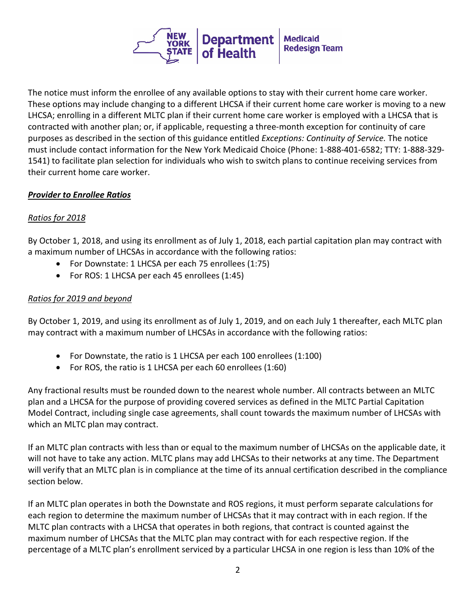

The notice must inform the enrollee of any available options to stay with their current home care worker. These options may include changing to a different LHCSA if their current home care worker is moving to a new LHCSA; enrolling in a different MLTC plan if their current home care worker is employed with a LHCSA that is contracted with another plan; or, if applicable, requesting a three-month exception for continuity of care purposes as described in the section of this guidance entitled *Exceptions: Continuity of Service.* The notice must include contact information for the New York Medicaid Choice (Phone: 1-888-401-6582; TTY: 1-888-329- 1541) to facilitate plan selection for individuals who wish to switch plans to continue receiving services from their current home care worker.

## *Provider to Enrollee Ratios*

## *Ratios for 2018*

By October 1, 2018, and using its enrollment as of July 1, 2018, each partial capitation plan may contract with a maximum number of LHCSAs in accordance with the following ratios:

- For Downstate: 1 LHCSA per each 75 enrollees (1:75)
- For ROS: 1 LHCSA per each 45 enrollees (1:45)

### *Ratios for 2019 and beyond*

By October 1, 2019, and using its enrollment as of July 1, 2019, and on each July 1 thereafter, each MLTC plan may contract with a maximum number of LHCSAs in accordance with the following ratios:

- For Downstate, the ratio is 1 LHCSA per each 100 enrollees (1:100)
- For ROS, the ratio is 1 LHCSA per each 60 enrollees (1:60)

Any fractional results must be rounded down to the nearest whole number. All contracts between an MLTC plan and a LHCSA for the purpose of providing covered services as defined in the MLTC Partial Capitation Model Contract, including single case agreements, shall count towards the maximum number of LHCSAs with which an MLTC plan may contract.

If an MLTC plan contracts with less than or equal to the maximum number of LHCSAs on the applicable date, it will not have to take any action. MLTC plans may add LHCSAs to their networks at any time. The Department will verify that an MLTC plan is in compliance at the time of its annual certification described in the compliance section below.

If an MLTC plan operates in both the Downstate and ROS regions, it must perform separate calculations for each region to determine the maximum number of LHCSAs that it may contract with in each region. If the MLTC plan contracts with a LHCSA that operates in both regions, that contract is counted against the maximum number of LHCSAs that the MLTC plan may contract with for each respective region. If the percentage of a MLTC plan's enrollment serviced by a particular LHCSA in one region is less than 10% of the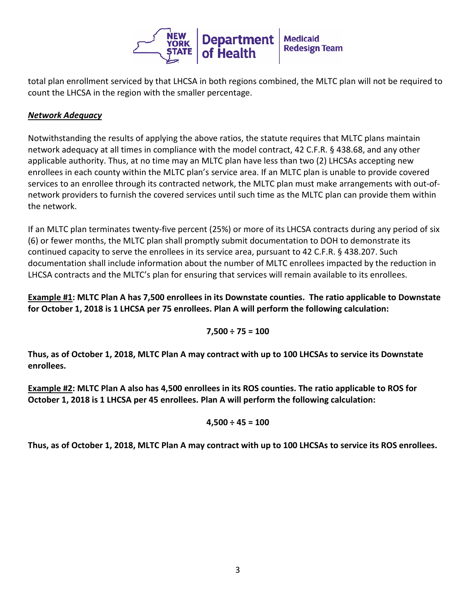

total plan enrollment serviced by that LHCSA in both regions combined, the MLTC plan will not be required to count the LHCSA in the region with the smaller percentage.

# *Network Adequacy*

Notwithstanding the results of applying the above ratios, the statute requires that MLTC plans maintain network adequacy at all times in compliance with the model contract, 42 C.F.R. § 438.68, and any other applicable authority. Thus, at no time may an MLTC plan have less than two (2) LHCSAs accepting new enrollees in each county within the MLTC plan's service area. If an MLTC plan is unable to provide covered services to an enrollee through its contracted network, the MLTC plan must make arrangements with out-ofnetwork providers to furnish the covered services until such time as the MLTC plan can provide them within the network.

If an MLTC plan terminates twenty-five percent (25%) or more of its LHCSA contracts during any period of six (6) or fewer months, the MLTC plan shall promptly submit documentation to DOH to demonstrate its continued capacity to serve the enrollees in its service area, pursuant to 42 C.F.R. § 438.207. Such documentation shall include information about the number of MLTC enrollees impacted by the reduction in LHCSA contracts and the MLTC's plan for ensuring that services will remain available to its enrollees.

**Example #1: MLTC Plan A has 7,500 enrollees in its Downstate counties. The ratio applicable to Downstate for October 1, 2018 is 1 LHCSA per 75 enrollees. Plan A will perform the following calculation:**

**7,500 ÷ 75 = 100**

**Thus, as of October 1, 2018, MLTC Plan A may contract with up to 100 LHCSAs to service its Downstate enrollees.** 

**Example #2: MLTC Plan A also has 4,500 enrollees in its ROS counties. The ratio applicable to ROS for October 1, 2018 is 1 LHCSA per 45 enrollees. Plan A will perform the following calculation:** 

$$
4,500 \div 45 = 100
$$

**Thus, as of October 1, 2018, MLTC Plan A may contract with up to 100 LHCSAs to service its ROS enrollees.**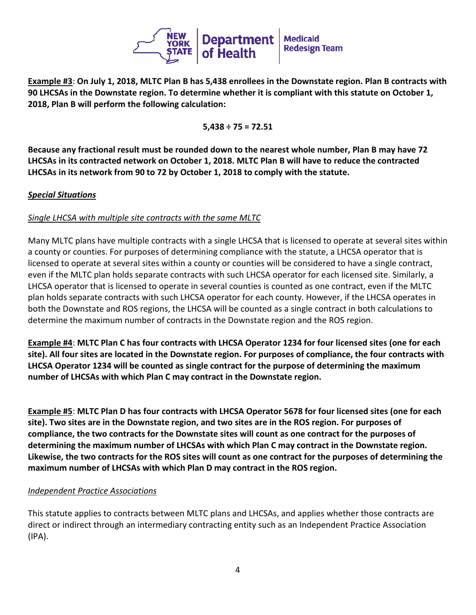

**Example #3**: **On July 1, 2018, MLTC Plan B has 5,438 enrollees in the Downstate region. Plan B contracts with 90 LHCSAs in the Downstate region. To determine whether it is compliant with this statute on October 1, 2018, Plan B will perform the following calculation:** 

**5,438 ÷ 75 = 72.51**

**Because any fractional result must be rounded down to the nearest whole number, Plan B may have 72 LHCSAs in its contracted network on October 1, 2018. MLTC Plan B will have to reduce the contracted LHCSAs in its network from 90 to 72 by October 1, 2018 to comply with the statute.**

### *Special Situations*

### *Single LHCSA with multiple site contracts with the same MLTC*

Many MLTC plans have multiple contracts with a single LHCSA that is licensed to operate at several sites within a county or counties. For purposes of determining compliance with the statute, a LHCSA operator that is licensed to operate at several sites within a county or counties will be considered to have a single contract, even if the MLTC plan holds separate contracts with such LHCSA operator for each licensed site. Similarly, a LHCSA operator that is licensed to operate in several counties is counted as one contract, even if the MLTC plan holds separate contracts with such LHCSA operator for each county. However, if the LHCSA operates in both the Downstate and ROS regions, the LHCSA will be counted as a single contract in both calculations to determine the maximum number of contracts in the Downstate region and the ROS region.

**Example #4**: **MLTC Plan C has four contracts with LHCSA Operator 1234 for four licensed sites (one for each site). All four sites are located in the Downstate region. For purposes of compliance, the four contracts with LHCSA Operator 1234 will be counted as single contract for the purpose of determining the maximum number of LHCSAs with which Plan C may contract in the Downstate region.**

**Example #5**: **MLTC Plan D has four contracts with LHCSA Operator 5678 for four licensed sites (one for each site). Two sites are in the Downstate region, and two sites are in the ROS region. For purposes of compliance, the two contracts for the Downstate sites will count as one contract for the purposes of determining the maximum number of LHCSAs with which Plan C may contract in the Downstate region. Likewise, the two contracts for the ROS sites will count as one contract for the purposes of determining the maximum number of LHCSAs with which Plan D may contract in the ROS region.**

#### *Independent Practice Associations*

This statute applies to contracts between MLTC plans and LHCSAs, and applies whether those contracts are direct or indirect through an intermediary contracting entity such as an Independent Practice Association (IPA).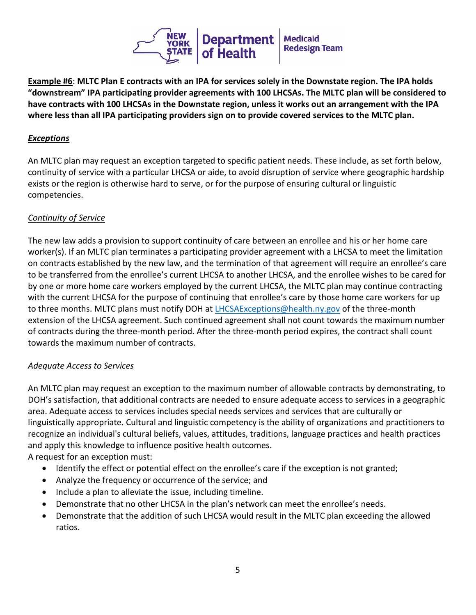

**Example #6**: **MLTC Plan E contracts with an IPA for services solely in the Downstate region. The IPA holds "downstream" IPA participating provider agreements with 100 LHCSAs. The MLTC plan will be considered to have contracts with 100 LHCSAs in the Downstate region, unless it works out an arrangement with the IPA where less than all IPA participating providers sign on to provide covered services to the MLTC plan.**

### *Exceptions*

An MLTC plan may request an exception targeted to specific patient needs. These include, as set forth below, continuity of service with a particular LHCSA or aide, to avoid disruption of service where geographic hardship exists or the region is otherwise hard to serve, or for the purpose of ensuring cultural or linguistic competencies.

### *Continuity of Service*

The new law adds a provision to support continuity of care between an enrollee and his or her home care worker(s). If an MLTC plan terminates a participating provider agreement with a LHCSA to meet the limitation on contracts established by the new law, and the termination of that agreement will require an enrollee's care to be transferred from the enrollee's current LHCSA to another LHCSA, and the enrollee wishes to be cared for by one or more home care workers employed by the current LHCSA, the MLTC plan may continue contracting with the current LHCSA for the purpose of continuing that enrollee's care by those home care workers for up to three months. MLTC plans must notify DOH at [LHCSAExceptions@health.ny.gov](mailto:LHCSAExceptions@health.ny.gov) of the three-month extension of the LHCSA agreement. Such continued agreement shall not count towards the maximum number of contracts during the three-month period. After the three-month period expires, the contract shall count towards the maximum number of contracts.

#### *Adequate Access to Services*

An MLTC plan may request an exception to the maximum number of allowable contracts by demonstrating, to DOH's satisfaction, that additional contracts are needed to ensure adequate access to services in a geographic area. Adequate access to services includes special needs services and services that are culturally or linguistically appropriate. Cultural and linguistic competency is the ability of organizations and practitioners to recognize an individual's cultural beliefs, values, attitudes, traditions, language practices and health practices and apply this knowledge to influence positive health outcomes.

A request for an exception must:

- Identify the effect or potential effect on the enrollee's care if the exception is not granted;
- Analyze the frequency or occurrence of the service; and
- Include a plan to alleviate the issue, including timeline.
- Demonstrate that no other LHCSA in the plan's network can meet the enrollee's needs.
- Demonstrate that the addition of such LHCSA would result in the MLTC plan exceeding the allowed ratios.